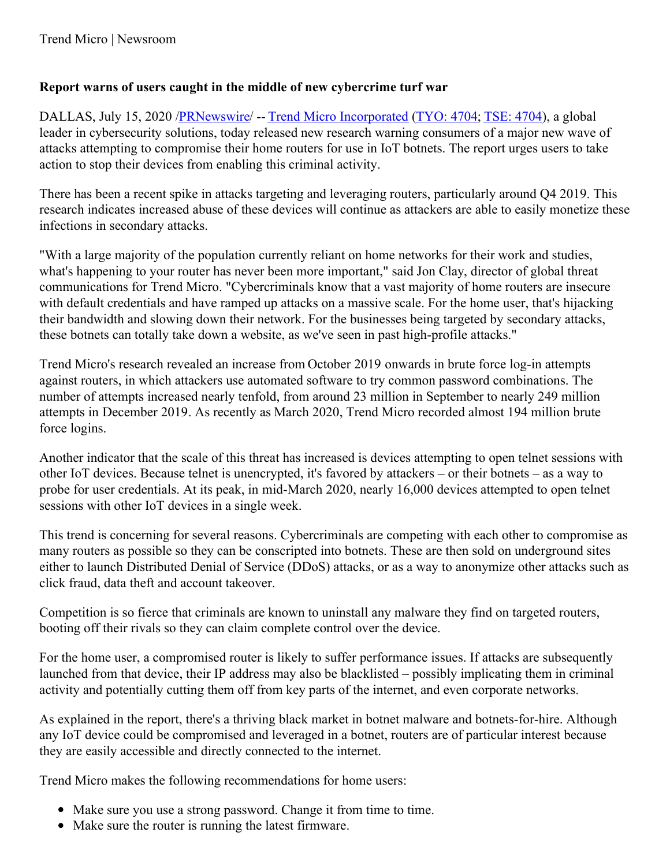## **Report warns of users caught in the middle of new cybercrime turf war**

DALLAS, July 15, 2020 [/PRNewswire](http://www.prnewswire.com/)/ -- Trend Micro [Incorporated](https://c212.net/c/link/?t=0&l=en&o=2858097-1&h=1527712891&u=http%3A%2F%2Fwww.trendmicro.com%2F&a=Trend+Micro+Incorporated) [\(TYO:](https://c212.net/c/link/?t=0&l=en&o=2858097-1&h=344946378&u=http%3A%2F%2Fwww.google.com%2Ffinance%3Fq%3DTYO%3A4704&a=TYO%3A+4704) 4704; [TSE:](https://c212.net/c/link/?t=0&l=en&o=2858097-1&h=162364415&u=http%3A%2F%2Fwww.trendmicro.com%2Fus%2Fabout-us%2Finvestor-relations%2Findex.html&a=TSE%3A+4704) 4704), a global leader in cybersecurity solutions, today released new research warning consumers of a major new wave of attacks attempting to compromise their home routers for use in IoT botnets. The report urges users to take action to stop their devices from enabling this criminal activity.

There has been a recent spike in attacks targeting and leveraging routers, particularly around Q4 2019. This research indicates increased abuse of these devices will continue as attackers are able to easily monetize these infections in secondary attacks.

"With a large majority of the population currently reliant on home networks for their work and studies, what's happening to your router has never been more important," said Jon Clay, director of global threat communications for Trend Micro. "Cybercriminals know that a vast majority of home routers are insecure with default credentials and have ramped up attacks on a massive scale. For the home user, that's hijacking their bandwidth and slowing down their network. For the businesses being targeted by secondary attacks, these botnets can totally take down a website, as we've seen in past high-profile attacks."

Trend Micro's research revealed an increase from October 2019 onwards in brute force log-in attempts against routers, in which attackers use automated software to try common password combinations. The number of attempts increased nearly tenfold, from around 23 million in September to nearly 249 million attempts in December 2019. As recently as March 2020, Trend Micro recorded almost 194 million brute force logins.

Another indicator that the scale of this threat has increased is devices attempting to open telnet sessions with other IoT devices. Because telnet is unencrypted, it's favored by attackers – or their botnets – as a way to probe for user credentials. At its peak, in mid-March 2020, nearly 16,000 devices attempted to open telnet sessions with other IoT devices in a single week.

This trend is concerning for several reasons. Cybercriminals are competing with each other to compromise as many routers as possible so they can be conscripted into botnets. These are then sold on underground sites either to launch Distributed Denial of Service (DDoS) attacks, or as a way to anonymize other attacks such as click fraud, data theft and account takeover.

Competition is so fierce that criminals are known to uninstall any malware they find on targeted routers, booting off their rivals so they can claim complete control over the device.

For the home user, a compromised router is likely to suffer performance issues. If attacks are subsequently launched from that device, their IP address may also be blacklisted – possibly implicating them in criminal activity and potentially cutting them off from key parts of the internet, and even corporate networks.

As explained in the report, there's a thriving black market in botnet malware and botnets-for-hire. Although any IoT device could be compromised and leveraged in a botnet, routers are of particular interest because they are easily accessible and directly connected to the internet.

Trend Micro makes the following recommendations for home users:

- Make sure you use a strong password. Change it from time to time.
- Make sure the router is running the latest firmware.